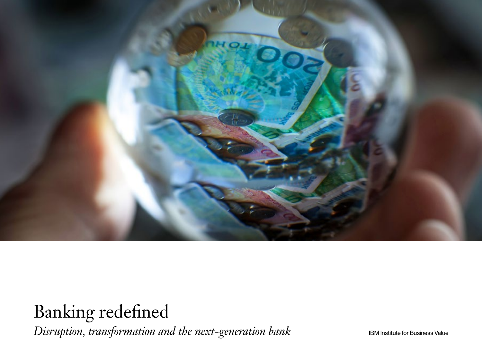

Banking redefined *Disruption, transformation and the next-generation bank*

IBM Institute for Business Value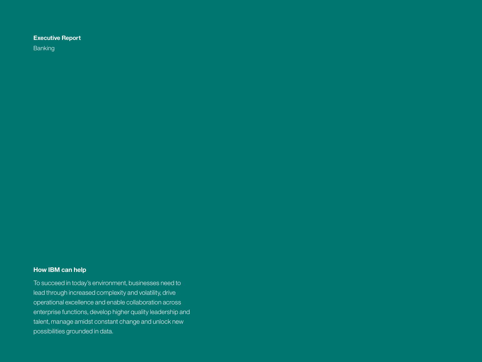#### **Executive Report**

Banking

#### **How IBM can help**

To succeed in today's environment, businesses need to lead through increased complexity and volatility, drive operational excellence and enable collaboration across enterprise functions, develop higher quality leadership and talent, manage amidst constant change and unlock new possibilities grounded in data.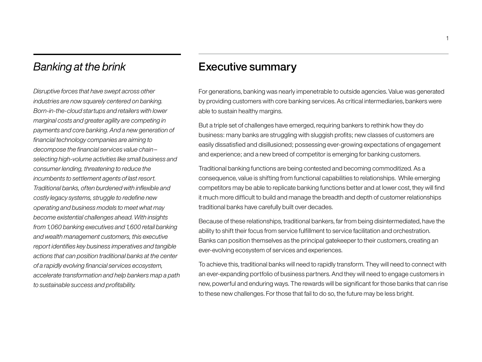## *Banking at the brink*

*Disruptive forces that have swept across other industries are now squarely centered on banking. Born-in-the-cloud startups and retailers with lower marginal costs and greater agility are competing in payments and core banking. And a new generation of financial technology companies are aiming to decompose the financial services value chain– selecting high-volume activities like small business and consumer lending, threatening to reduce the incumbents to settlement agents of last resort. Traditional banks, often burdened with inflexible and costly legacy systems, struggle to redefine new operating and business models to meet what may become existential challenges ahead. With insights from 1,060 banking executives and 1,600 retail banking and wealth management customers, this executive report identifies key business imperatives and tangible actions that can position traditional banks at the center of a rapidly evolving financial services ecosystem, accelerate transformation and help bankers map a path to sustainable success and profitability.*

### Executive summary

For generations, banking was nearly impenetrable to outside agencies. Value was generated by providing customers with core banking services. As critical intermediaries, bankers were able to sustain healthy margins.

But a triple set of challenges have emerged, requiring bankers to rethink how they do business: many banks are struggling with sluggish profits; new classes of customers are easily dissatisfied and disillusioned; possessing ever-growing expectations of engagement and experience; and a new breed of competitor is emerging for banking customers.

Traditional banking functions are being contested and becoming commoditized. As a consequence, value is shifting from functional capabilities to relationships. While emerging competitors may be able to replicate banking functions better and at lower cost, they will find it much more difficult to build and manage the breadth and depth of customer relationships traditional banks have carefully built over decades.

Because of these relationships, traditional bankers, far from being disintermediated, have the ability to shift their focus from service fulfillment to service facilitation and orchestration. Banks can position themselves as the principal gatekeeper to their customers, creating an ever-evolving ecosystem of services and experiences.

To achieve this, traditional banks will need to rapidly transform. They will need to connect with an ever-expanding portfolio of business partners. And they will need to engage customers in new, powerful and enduring ways. The rewards will be significant for those banks that can rise to these new challenges. For those that fail to do so, the future may be less bright.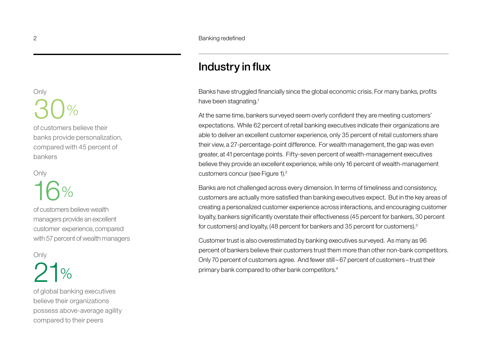## Industry in flux

Banks have struggled financially since the global economic crisis. For many banks, profits have been stagnating.<sup>1</sup>

At the same time, bankers surveyed seem overly confident they are meeting customers' expectations. While 62 percent of retail banking executives indicate their organizations are able to deliver an excellent customer experience, only 35 percent of retail customers share their view, a 27-percentage-point difference. For wealth management, the gap was even greater, at 41 percentage points. Fifty-seven percent of wealth-management executives believe they provide an excellent experience, while only 16 percent of wealth-management customers concur (see Figure 1).<sup>2</sup>

Banks are not challenged across every dimension. In terms of timeliness and consistency, customers are actually more satisfied than banking executives expect. But in the key areas of creating a personalized customer experience across interactions, and encouraging customer loyalty, bankers significantly overstate their effectiveness (45 percent for bankers, 30 percent for customers) and loyalty, (48 percent for bankers and 35 percent for customers).3

Customer trust is also overestimated by banking executives surveyed. As many as 96 percent of bankers believe their customers trust them more than other non-bank competitors. Only 70 percent of customers agree. And fewer still–67 percent of customers–trust their primary bank compared to other bank competitors.4

## Only 30%

of customers believe their banks provide personalization, compared with 45 percent of bankers

#### **Only**

# 16%

of customers believe wealth managers provide an excellent customer experience, compared with 57 percent of wealth managers

#### **Only**

## $1\%$

of global banking executives believe their organizations possess above-average agility compared to their peers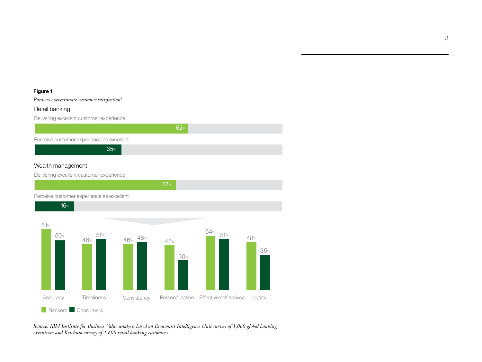#### **Figure 1**

#### *Bankers overestimate customer satisfaction5*

#### Retail banking

Delivering excellent customer experience



57%

#### Wealth management

Delivering excellent customer experience

Perceive customer experience as excellent



*Source: IBM Institute for Business Value analysis based on Economist Intelligence Unit survey of 1,060 global banking executives and Ketchum survey of 1,600 retail banking customers.*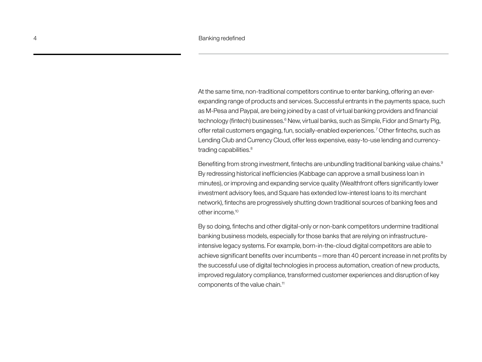At the same time, non-traditional competitors continue to enter banking, offering an everexpanding range of products and services. Successful entrants in the payments space, such as M-Pesa and Paypal, are being joined by a cast of virtual banking providers and financial technology (fintech) businesses.<sup>6</sup> New, virtual banks, such as Simple, Fidor and Smarty Pig, offer retail customers engaging, fun, socially-enabled experiences. 7 Other fintechs, such as Lending Club and Currency Cloud, offer less expensive, easy-to-use lending and currencytrading capabilities.<sup>8</sup>

Benefiting from strong investment, fintechs are unbundling traditional banking value chains.<sup>9</sup> By redressing historical inefficiencies (Kabbage can approve a small business loan in minutes), or improving and expanding service quality (Wealthfront offers significantly lower investment advisory fees, and Square has extended low-interest loans to its merchant network), fintechs are progressively shutting down traditional sources of banking fees and other income.10

By so doing, fintechs and other digital-only or non-bank competitors undermine traditional banking business models, especially for those banks that are relying on infrastructureintensive legacy systems. For example, born-in-the-cloud digital competitors are able to achieve significant benefits over incumbents – more than 40 percent increase in net profits by the successful use of digital technologies in process automation, creation of new products, improved regulatory compliance, transformed customer experiences and disruption of key components of the value chain.<sup>11</sup>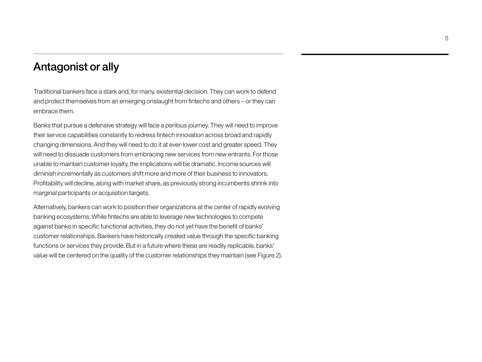## Antagonist or ally

Traditional bankers face a stark and, for many, existential decision. They can work to defend and protect themselves from an emerging onslaught from fintechs and others – or they can embrace them.

Banks that pursue a defensive strategy will face a perilous journey. They will need to improve their service capabilities constantly to redress fintech innovation across broad and rapidly changing dimensions. And they will need to do it at ever-lower cost and greater speed. They will need to dissuade customers from embracing new services from new entrants. For those unable to maintain customer loyalty, the implications will be dramatic. Income sources will diminish incrementally as customers shift more and more of their business to innovators. Profitability will decline, along with market share, as previously strong incumbents shrink into marginal participants or acquisition targets.

Alternatively, bankers can work to position their organizations at the center of rapidly evolving banking ecosystems. While fintechs are able to leverage new technologies to compete against banks in specific functional activities, they do not yet have the benefit of banks' customer relationships. Bankers have historically created value through the specific banking functions or services they provide. But in a future where these are readily replicable, banks' value will be centered on the quality of the customer relationships they maintain (see Figure 2).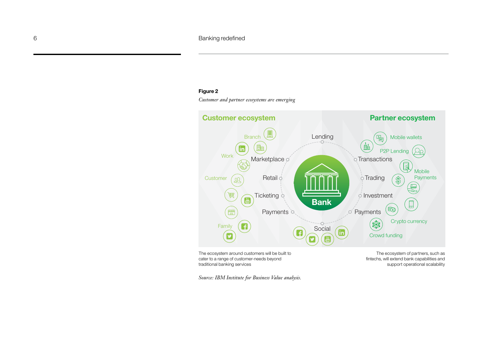#### 6 **Banking redefined**

#### **Figure 2**

*Customer and partner ecosystems are emerging*



cater to a range of customer-needs beyond traditional banking services

*Source: IBM Institute for Business Value analysis.*

fintechs, will extend bank capabilities and support operational scalability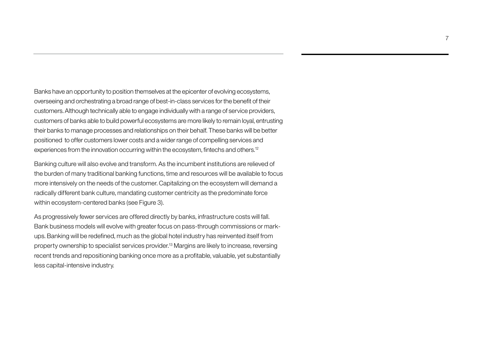Banks have an opportunity to position themselves at the epicenter of evolving ecosystems, overseeing and orchestrating a broad range of best-in-class services for the benefit of their customers. Although technically able to engage individually with a range of service providers, customers of banks able to build powerful ecosystems are more likely to remain loyal, entrusting their banks to manage processes and relationships on their behalf. These banks will be better positioned to offer customers lower costs and a wider range of compelling services and experiences from the innovation occurring within the ecosystem, fintechs and others.12

Banking culture will also evolve and transform. As the incumbent institutions are relieved of the burden of many traditional banking functions, time and resources will be available to focus more intensively on the needs of the customer. Capitalizing on the ecosystem will demand a radically different bank culture, mandating customer centricity as the predominate force within ecosystem-centered banks (see Figure 3).

As progressively fewer services are offered directly by banks, infrastructure costs will fall. Bank business models will evolve with greater focus on pass-through commissions or markups. Banking will be redefined, much as the global hotel industry has reinvented itself from property ownership to specialist services provider.13 Margins are likely to increase, reversing recent trends and repositioning banking once more as a profitable, valuable, yet substantially less capital-intensive industry.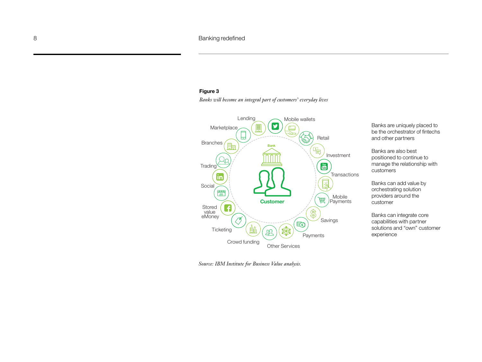#### **Figure 3**

*Banks will become an integral part of customers' everyday lives*



*Source: IBM Institute for Business Value analysis.*

Banks are uniquely placed to be the orchestrator of fintechs and other partners

Banks are also best positioned to continue to manage the relationship with customers

Banks can add value by orchestrating solution providers around the customer

Banks can integrate core capabilities with partner solutions and "own" customer experience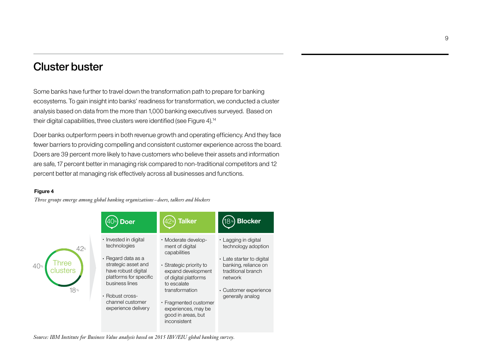## Cluster buster

Some banks have further to travel down the transformation path to prepare for banking ecosystems. To gain insight into banks' readiness for transformation, we conducted a cluster analysis based on data from the more than 1,000 banking executives surveyed. Based on their digital capabilities, three clusters were identified (see Figure 4).14

Doer banks outperform peers in both revenue growth and operating efficiency. And they face fewer barriers to providing compelling and consistent customer experience across the board. Doers are 39 percent more likely to have customers who believe their assets and information are safe, 17 percent better in managing risk compared to non-traditional competitors and 12 percent better at managing risk effectively across all businesses and functions.

#### **Figure 4**

*Three groups emerge among global banking organizations – doers, talkers and blockers*



*Source: IBM Institute for Business Value analysis based on 2015 IBV/EIU global banking survey.*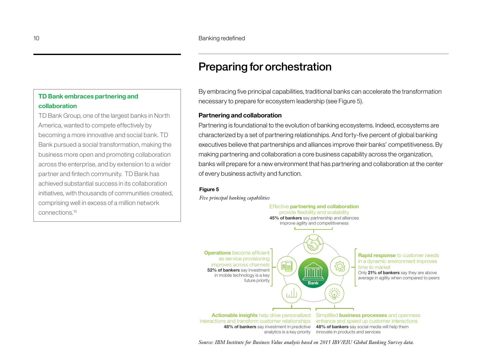## Preparing for orchestration

By embracing five principal capabilities, traditional banks can accelerate the transformation necessary to prepare for ecosystem leadership (see Figure 5).

#### **Partnering and collaboration**

Partnering is foundational to the evolution of banking ecosystems. Indeed, ecosystems are characterized by a set of partnering relationships. And forty-five percent of global banking executives believe that partnerships and alliances improve their banks' competitiveness. By making partnering and collaboration a core business capability across the organization, banks will prepare for a new environment that has partnering and collaboration at the center of every business activity and function.

#### **Figure 5**

*Five principal banking capabilities*



interactions and transform customer relationships enhance and speed up customer interactions

**48% of bankers** say investment in predictive 48% of bankers say social media will help them analytics is a key priority innovate in products and services

*Source: IBM Institute for Business Value analysis based on 2015 IBV/EIU Global Banking Survey data.*

#### **TD Bank embraces partnering and collaboration**

TD Bank Group, one of the largest banks in North America, wanted to compete effectively by becoming a more innovative and social bank. TD Bank pursued a social transformation, making the business more open and promoting collaboration across the enterprise, and by extension to a wider partner and fintech community. TD Bank has achieved substantial success in its collaboration initiatives, with thousands of communities created, comprising well in excess of a million network connections.15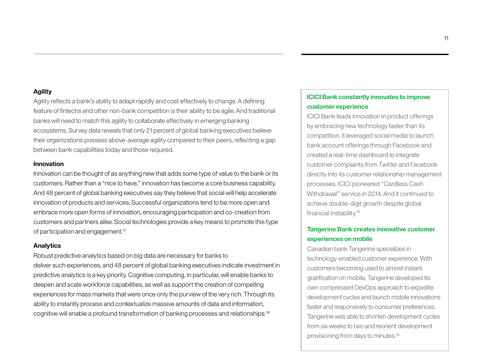#### **Agility**

Agility reflects a bank's ability to adapt rapidly and cost effectively to change. A defining feature of fintechs and other non-bank competition is their ability to be agile. And traditional banks will need to match this agility to collaborate effectively in emerging banking ecosystems. Survey data reveals that only 21 percent of global banking executives believe their organizations possess above-average agility compared to their peers, reflecting a gap between bank capabilities today and those required.

#### **Innovation**

Innovation can be thought of as anything new that adds some type of value to the bank or its customers. Rather than a "nice to have," innovation has become a core business capability. And 48 percent of global banking executives say they believe that social will help accelerate innovation of products and services. Successful organizations tend to be more open and embrace more open forms of innovation, encouraging participation and co-creation from customers and partners alike. Social technologies provide a key means to promote this type of participation and engagement.17

#### **Analytics**

Robust predictive analytics based on big data are necessary for banks to deliver such experiences, and 48 percent of global banking executives indicate investment in predictive analytics is a key priority. Cognitive computing, in particular, will enable banks to deepen and scale workforce capabilities, as well as support the creation of compelling experiences for mass markets that were once only the purview of the very rich. Through its ability to instantly process and contextualize massive amounts of data and information, cognitive will enable a profound transformation of banking processes and relationships.19

#### **ICICI Bank constantly innovates to improve customer experience**

ICICI Bank leads innovation in product offerings by embracing new technology faster than its competition. It leveraged social media to launch bank account offerings through Facebook and created a real-time dashboard to integrate customer complaints from Twitter and Facebook directly into its customer relationship management processes. ICICI pioneered "Cardless Cash Withdrawal" service in 2014. And it continued to achieve double-digit growth despite global financial instability.16

#### **Tangerine Bank creates innovative customer experiences on mobile**

Canadian bank Tangerine specializes in technology-enabled customer experience. With customers becoming used to almost instant gratification on mobile, Tangerine developed its own compressed DevOps approach to expedite development cycles and launch mobile innovations faster and responsively to consumer preferences. Tangerine was able to shorten development cycles from six weeks to two and reorient development provisioning from days to minutes.18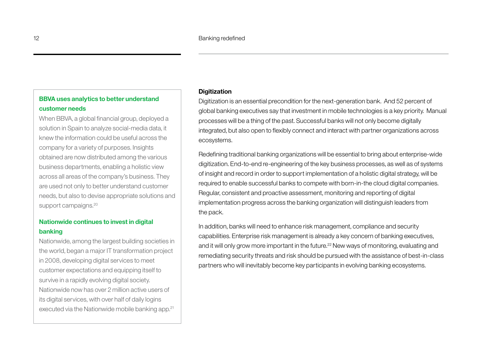#### **BBVA uses analytics to better understand customer needs**

When BBVA, a global financial group, deployed a solution in Spain to analyze social-media data, it knew the information could be useful across the company for a variety of purposes. Insights obtained are now distributed among the various business departments, enabling a holistic view across all areas of the company's business. They are used not only to better understand customer needs, but also to devise appropriate solutions and support campaigns.<sup>20</sup>

#### **Nationwide continues to invest in digital banking**

Nationwide, among the largest building societies in the world, began a major IT transformation project in 2008, developing digital services to meet customer expectations and equipping itself to survive in a rapidly evolving digital society. Nationwide now has over 2 million active users of its digital services, with over half of daily logins executed via the Nationwide mobile banking app.<sup>21</sup>

#### **Digitization**

Digitization is an essential precondition for the next-generation bank. And 52 percent of global banking executives say that investment in mobile technologies is a key priority. Manual processes will be a thing of the past. Successful banks will not only become digitally integrated, but also open to flexibly connect and interact with partner organizations across ecosystems.

Redefining traditional banking organizations will be essential to bring about enterprise-wide digitization. End-to-end re-engineering of the key business processes, as well as of systems of insight and record in order to support implementation of a holistic digital strategy, will be required to enable successful banks to compete with born-in-the cloud digital companies. Regular, consistent and proactive assessment, monitoring and reporting of digital implementation progress across the banking organization will distinguish leaders from the pack.

In addition, banks will need to enhance risk management, compliance and security capabilities. Enterprise risk management is already a key concern of banking executives, and it will only grow more important in the future.<sup>22</sup> New ways of monitoring, evaluating and remediating security threats and risk should be pursued with the assistance of best-in-class partners who will inevitably become key participants in evolving banking ecosystems.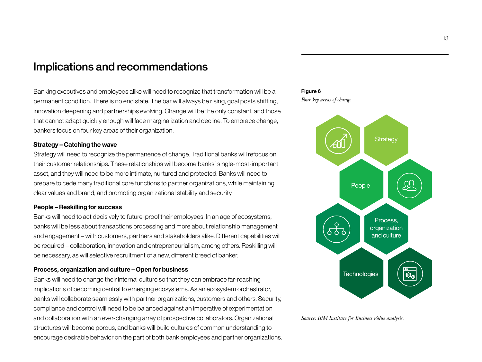## Implications and recommendations

Banking executives and employees alike will need to recognize that transformation will be a permanent condition. There is no end state. The bar will always be rising, goal posts shifting, innovation deepening and partnerships evolving. Change will be the only constant, and those that cannot adapt quickly enough will face marginalization and decline. To embrace change, bankers focus on four key areas of their organization.

#### **Strategy – Catching the wave**

Strategy will need to recognize the permanence of change. Traditional banks will refocus on their customer relationships. These relationships will become banks' single-most-important asset, and they will need to be more intimate, nurtured and protected. Banks will need to prepare to cede many traditional core functions to partner organizations, while maintaining clear values and brand, and promoting organizational stability and security.

#### **People – Reskilling for success**

Banks will need to act decisively to future-proof their employees. In an age of ecosystems, banks will be less about transactions processing and more about relationship management and engagement – with customers, partners and stakeholders alike. Different capabilities will be required – collaboration, innovation and entrepreneurialism, among others. Reskilling will be necessary, as will selective recruitment of a new, different breed of banker.

#### **Process, organization and culture – Open for business**

Banks will need to change their internal culture so that they can embrace far-reaching implications of becoming central to emerging ecosystems. As an ecosystem orchestrator, banks will collaborate seamlessly with partner organizations, customers and others. Security, compliance and control will need to be balanced against an imperative of experimentation and collaboration with an ever-changing array of prospective collaborators. Organizational structures will become porous, and banks will build cultures of common understanding to encourage desirable behavior on the part of both bank employees and partner organizations.



*Four key areas of change*



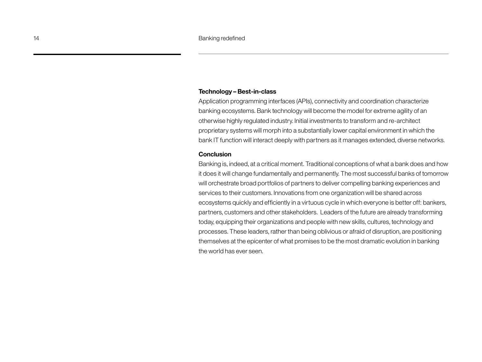#### **Technology – Best-in-class**

Application programming interfaces (APIs), connectivity and coordination characterize banking ecosystems. Bank technology will become the model for extreme agility of an otherwise highly regulated industry. Initial investments to transform and re-architect proprietary systems will morph into a substantially lower capital environment in which the bank IT function will interact deeply with partners as it manages extended, diverse networks.

#### **Conclusion**

Banking is, indeed, at a critical moment. Traditional conceptions of what a bank does and how it does it will change fundamentally and permanently. The most successful banks of tomorrow will orchestrate broad portfolios of partners to deliver compelling banking experiences and services to their customers. Innovations from one organization will be shared across ecosystems quickly and efficiently in a virtuous cycle in which everyone is better off: bankers, partners, customers and other stakeholders. Leaders of the future are already transforming today, equipping their organizations and people with new skills, cultures, technology and processes. These leaders, rather than being oblivious or afraid of disruption, are positioning themselves at the epicenter of what promises to be the most dramatic evolution in banking the world has ever seen.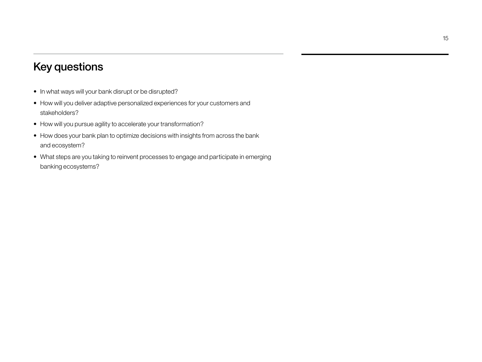## Key questions

- In what ways will your bank disrupt or be disrupted?
- How will you deliver adaptive personalized experiences for your customers and stakeholders?
- How will you pursue agility to accelerate your transformation?
- How does your bank plan to optimize decisions with insights from across the bank and ecosystem?
- What steps are you taking to reinvent processes to engage and participate in emerging banking ecosystems?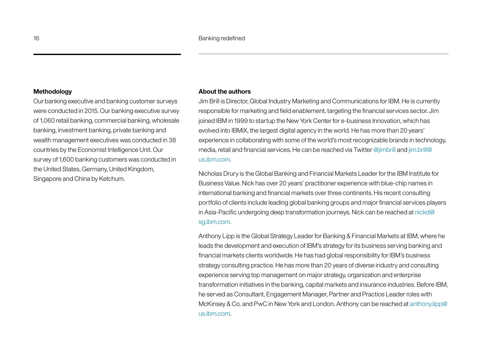#### **Methodology**

Our banking executive and banking customer surveys were conducted in 2015. Our banking executive survey of 1,060 retail banking, commercial banking, wholesale banking, investment banking, private banking and wealth management executives was conducted in 38 countries by the Economist Intelligence Unit. Our survey of 1,600 banking customers was conducted in the United States, Germany, United Kingdom, Singapore and China by Ketchum.

#### **About the authors**

Jim Brill is Director, Global Industry Marketing and Communications for IBM. He is currently responsible for marketing and field enablement, targeting the financial services sector. Jim joined IBM in 1999 to startup the New York Center for e-business Innovation, which has evolved into IBMiX, the largest digital agency in the world. He has more than 20 years' experience in collaborating with some of the world's most recognizable brands in technology, media, retail and financial services. He can be reached via Twitter @jimbrill and [jim.brill@](mailto:jim.brill@us.ibm.com) [us.ibm.com](mailto:jim.brill@us.ibm.com).

Nicholas Drury is the Global Banking and Financial Markets Leader for the IBM Institute for Business Value. Nick has over 20 years' practitioner experience with blue-chip names in international banking and financial markets over three continents. His recent consulting portfolio of clients include leading global banking groups and major financial services players in Asia-Pacific undergoing deep transformation journeys. Nick can be reached at nickd@ sg.ibm.com.

Anthony Lipp is the Global Strategy Leader for Banking & Financial Markets at IBM, where he leads the development and execution of IBM's strategy for its business serving banking and financial markets clients worldwide. He has had global responsibility for IBM's business strategy consulting practice. He has more than 20 years of diverse industry and consulting experience serving top management on major strategy, organization and enterprise transformation initiatives in the banking, capital markets and insurance industries. Before IBM, he served as Consultant, Engagement Manager, Partner and Practice Leader roles with McKinsey & Co. and PwC in New York and London. Anthony can be reached at anthony.lipp@ us.ibm.com.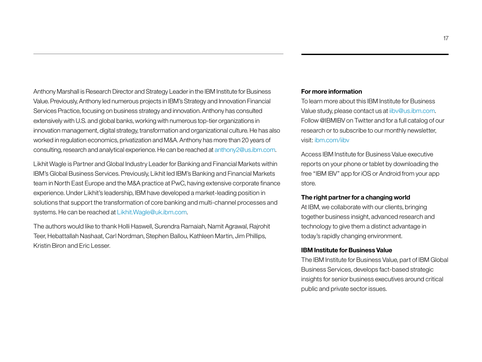Anthony Marshall is Research Director and Strategy Leader in the IBM Institute for Business Value. Previously, Anthony led numerous projects in IBM's Strategy and Innovation Financial Services Practice, focusing on business strategy and innovation. Anthony has consulted extensively with U.S. and global banks, working with numerous top-tier organizations in innovation management, digital strategy, transformation and organizational culture. He has also worked in regulation economics, privatization and M&A. Anthony has more than 20 years of consulting, research and analytical experience. He can be reached at anthony2@us.ibm.com.

Likhit Wagle is Partner and Global Industry Leader for Banking and Financial Markets within IBM's Global Business Services. Previously, Likhit led IBM's Banking and Financial Markets team in North East Europe and the M&A practice at PwC, having extensive corporate finance experience. Under Likhit's leadership, IBM have developed a market-leading position in solutions that support the transformation of core banking and multi-channel processes and systems. He can be reached at Likhit.Wagle@uk.ibm.com.

The authors would like to thank Holli Haswell, Surendra Ramaiah, Namit Agrawal, Rajrohit Teer, Hebattallah Nashaat, Carl Nordman, Stephen Ballou, Kathleen Martin, Jim Phillips, Kristin Biron and Eric Lesser.

#### **For more information**

To learn more about this IBM Institute for Business Value study, please contact us at iibv@us.ibm.com. Follow @IBMIBV on Twitter and for a full catalog of our research or to subscribe to our monthly newsletter, visit: ibm.com/iibv

Access IBM Institute for Business Value executive reports on your phone or tablet by downloading the free "IBM IBV" app for iOS or Android from your app store.

#### **The right partner for a changing world**

At IBM, we collaborate with our clients, bringing together business insight, advanced research and technology to give them a distinct advantage in today's rapidly changing environment.

#### **IBM Institute for Business Value**

The IBM Institute for Business Value, part of IBM Global Business Services, develops fact-based strategic insights for senior business executives around critical public and private sector issues.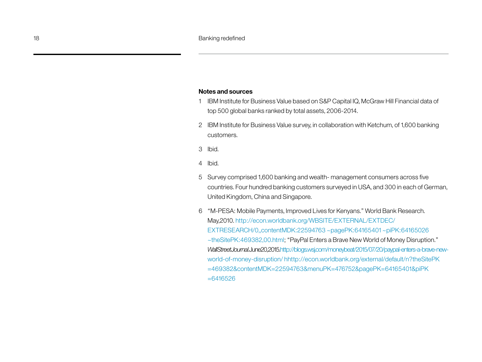#### **Notes and sources**

- 1 IBM Institute for Business Value based on S&P Capital IQ, McGraw Hill Financial data of top 500 global banks ranked by total assets, 2006-2014.
- 2 IBM Institute for Business Value survey, in collaboration with Ketchum, of 1,600 banking customers.
- 3 Ibid.
- 4 Ibid.
- 5 Survey comprised 1,600 banking and wealth- management consumers across five countries. Four hundred banking customers surveyed in USA, and 300 in each of German, United Kingdom, China and Singapore.
- 6 "M-PESA: Mobile Payments, Improved Lives for Kenyans." World Bank Research. May,2010. http://econ.worldbank.org/WBSITE/EXTERNAL/EXTDEC/ EXTRESEARCH/0,,contentMDK:22594763 ~pagePK:64165401 ~piPK:64165026 ~theSitePK:469382,00.html; "PayPal Enters a Brave New World of Money Disruption." *Wall Street Journal*. June20, 2015. [http://blogs.wsj.com/moneybeat/2015/07/20/paypal-enters-a-brave-new](http://blogs.wsj.com/moneybeat/2015/07/20/paypal-enters-a-brave-new-world-of-money-disruption/)[world-of-money-disruption/](http://blogs.wsj.com/moneybeat/2015/07/20/paypal-enters-a-brave-new-world-of-money-disruption/) h[http://econ.worldbank.org/external/default/n?theSitePK](http://econ.worldbank.org/external/default/main?theSitePK=469382&contentMDK=22594763&menuPK=476752&pagePK=64165401&piPK=64165026) [=469382&contentMDK=22594763&menuPK=476752&pagePK=64165401&piPK](http://econ.worldbank.org/external/default/main?theSitePK=469382&contentMDK=22594763&menuPK=476752&pagePK=64165401&piPK=64165026) [=6416526](http://econ.worldbank.org/external/default/main?theSitePK=469382&contentMDK=22594763&menuPK=476752&pagePK=64165401&piPK=64165026)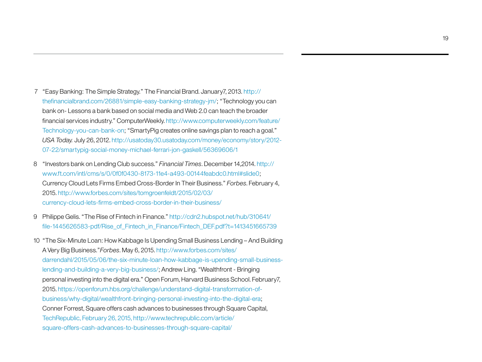- 7 "Easy Banking: The Simple Strategy." The Financial Brand. January7, 2013. [http://](http://thefinancialbrand.com/26881/simple-easy-banking-strategy-jm/) [thefinancialbrand.com/26881/simple-easy-banking-strategy-jm/](http://thefinancialbrand.com/26881/simple-easy-banking-strategy-jm/); "Technology you can bank on- Lessons a bank based on social media and Web 2.0 can teach the broader financial services industry." ComputerWeekly. [http://www.computerweekly.com/feature/](http://www.computerweekly.com/feature/Technology-you-can-bank-on) [Technology-you-can-bank-on](http://www.computerweekly.com/feature/Technology-you-can-bank-on); "SmartyPig creates online savings plan to reach a goal." *USA Today.* July 26, 2012. [http://usatoday30.usatoday.com/money/economy/story/2012-](http://usatoday30.usatoday.com/money/economy/story/2012-07-22/smartypig-social-money-michael-ferrari-jon-gaskell/56369606/1) [07-22/smartypig-social-money-michael-ferrari-jon-gaskell/56369606/1](http://usatoday30.usatoday.com/money/economy/story/2012-07-22/smartypig-social-money-michael-ferrari-jon-gaskell/56369606/1)
- 8 "Investors bank on Lending Club success." *Financial Times*. December 14,2014. http:// www.ft.com/intl/cms/s/0/0f0f0430-8173-11e4-a493-00144feabdc0.html#slide0; Currency Cloud Lets Firms Embed Cross-Border In Their Business." *Forbes*. February 4, 2015. [http://www.forbes.com/sites/tomgroenfeldt/2015/02/03/](http://www.forbes.com/sites/tomgroenfeldt/2015/02/03/currency-cloud-lets-firms-embed-cross-border-in-their-business/) [currency-cloud-lets-firms-embed-cross-border-in-their-business/](http://www.forbes.com/sites/tomgroenfeldt/2015/02/03/currency-cloud-lets-firms-embed-cross-border-in-their-business/)
- 9 Philippe Gelis. "The Rise of Fintech in Finance." [http://cdn2.hubspot.net/hub/310641/](http://cdn2.hubspot.net/hub/310641/file-1445626583-pdf/Rise_of_Fintech_in_Finance/Fintech_DEF.pdf?t=1413451665739) [file-1445626583-pdf/Rise\\_of\\_Fintech\\_in\\_Finance/Fintech\\_DEF.pdf?t=1413451665739](http://cdn2.hubspot.net/hub/310641/file-1445626583-pdf/Rise_of_Fintech_in_Finance/Fintech_DEF.pdf?t=1413451665739)
- 10 "The Six-Minute Loan: How Kabbage Is Upending Small Business Lending And Building A Very Big Business."*Forbes*. May 6, 2015. [http://www.forbes.com/sites/](http://www.forbes.com/sites/darrendahl/2015/05/06/the-six-minute-loan-how-kabbage-is-upending-small-business-lending-and-building-a-very-big-business/) [darrendahl/2015/05/06/the-six-minute-loan-how-kabbage-is-upending-small-business](http://www.forbes.com/sites/darrendahl/2015/05/06/the-six-minute-loan-how-kabbage-is-upending-small-business-lending-and-building-a-very-big-business/)[lending-and-building-a-very-big-business/;](http://www.forbes.com/sites/darrendahl/2015/05/06/the-six-minute-loan-how-kabbage-is-upending-small-business-lending-and-building-a-very-big-business/) Andrew Ling. "Wealthfront - Bringing personal investing into the digital era." Open Forum, Harvard Business School. February7, 2015. [https://openforum.hbs.org/challenge/understand-digital-transformation-of](https://openforum.hbs.org/challenge/understand-digital-transformation-of-business/why-digital/wealthfront-bringing-personal-investing-into-the-digital-era)[business/why-digital/wealthfront-bringing-personal-investing-into-the-digital-era;](https://openforum.hbs.org/challenge/understand-digital-transformation-of-business/why-digital/wealthfront-bringing-personal-investing-into-the-digital-era) Conner Forrest, Square offers cash advances to businesses through Square Capital, TechRepublic, February 26, 2015, http://www.techrepublic.com/article/ square-offers-cash-advances-to-businesses-through-square-capital/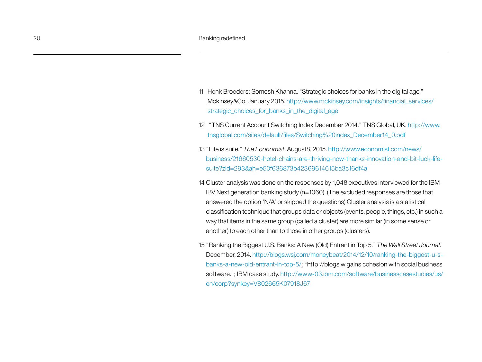- 11 Henk Broeders; Somesh Khanna. "Strategic choices for banks in the digital age." Mckinsey&Co. January 2015. [http://www.mckinsey.com/insights/financial\\_services/](http://www.mckinsey.com/insights/financial_services/strategic_choices_for_banks_in_the_digital_age) [strategic\\_choices\\_for\\_banks\\_in\\_the\\_digital\\_age](http://www.mckinsey.com/insights/financial_services/strategic_choices_for_banks_in_the_digital_age)
- 12 "TNS Current Account Switching Index December 2014." TNS Global, UK. http://www. tnsglobal.com/sites/default/files/Switching%20index\_December14\_0.pdf
- 13 "Life is suite." *The Economist*. August8, 2015. [http://www.economist.com/news/](http://www.economist.com/news/business/21660530-hotel-chains-are-thriving-now-thanks-innovation-and-bit-luck-life-suite?zid=293&ah=e50f636873b42369614615ba3c16df4a) [business/21660530-hotel-chains-are-thriving-now-thanks-innovation-and-bit-luck-life](http://www.economist.com/news/business/21660530-hotel-chains-are-thriving-now-thanks-innovation-and-bit-luck-life-suite?zid=293&ah=e50f636873b42369614615ba3c16df4a)[suite?zid=293&ah=e50f636873b42369614615ba3c16df4a](http://www.economist.com/news/business/21660530-hotel-chains-are-thriving-now-thanks-innovation-and-bit-luck-life-suite?zid=293&ah=e50f636873b42369614615ba3c16df4a)
- 14 Cluster analysis was done on the responses by 1,048 executives interviewed for the IBM-IBV Next generation banking study (n=1060). (The excluded responses are those that answered the option 'N/A' or skipped the questions) Cluster analysis is a statistical classification technique that groups data or objects (events, people, things, etc.) in such a way that items in the same group (called a cluster) are more similar (in some sense or another) to each other than to those in other groups (clusters).
- 15 "Ranking the Biggest U.S. Banks: A New (Old) Entrant in Top 5." *The Wall Street Journal*. December, 2014. [http://blogs.wsj.com/moneybeat/2014/12/10/ranking-the-biggest-u-s](http://blogs.wsj.com/moneybeat/2014/12/10/ranking-the-biggest-u-s-banks-a-new-old-entrant-in-top-5/)[banks-a-new-old-entrant-in-top-5/](http://blogs.wsj.com/moneybeat/2014/12/10/ranking-the-biggest-u-s-banks-a-new-old-entrant-in-top-5/); "http://blogs.w gains cohesion with social business software."; IBM case study. [http://www-03.ibm.com/software/businesscasestudies/us/](http://www-03.ibm.com/software/businesscasestudies/us/en/corp?synkey=V802665K07918J67) [en/corp?synkey=V802665K07918J67](http://www-03.ibm.com/software/businesscasestudies/us/en/corp?synkey=V802665K07918J67)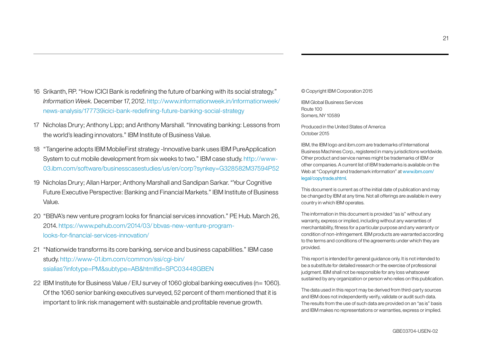- 16 Srikanth, RP. "How ICICI Bank is redefining the future of banking with its social strategy." *Information Week.* December 17, 2012. http://www.informationweek.in/informationweek/ news-analysis/177739icici-bank-redefining-future-banking-social-strategy
- 17 Nicholas Drury; Anthony Lipp; and Anthony Marshall. "Innovating banking: Lessons from the world's leading innovators." IBM Institute of Business Value.
- 18 "Tangerine adopts IBM MobileFirst strategy -Innovative bank uses IBM PureApplication System to cut mobile development from six weeks to two." IBM case study. [http://www-](http://www-03.ibm.com/software/businesscasestudies/us/en/corp?synkey=G328582M37594P52)[03.ibm.com/software/businesscasestudies/us/en/corp?synkey=G328582M37594P52](http://www-03.ibm.com/software/businesscasestudies/us/en/corp?synkey=G328582M37594P52)
- 19 Nicholas Drury; Allan Harper; Anthony Marshall and Sandipan Sarkar. "Your Cognitive Future Executive Perspective: Banking and Financial Markets." IBM Institute of Business Value.
- 20 "BBVA's new venture program looks for financial services innovation." PE Hub. March 26, 2014. https://www.pehub.com/2014/03/ bbvas-new-venture-programlooks-for-financial-services-innovation/
- 21 "Nationwide transforms its core banking, service and business capabilities." IBM case study. [http://www-01.ibm.com/common/ssi/cgi-bin/](http://www-01.ibm.com/common/ssi/cgi-bin/ssialias?infotype=PM&subtype=AB&htmlfid=SPC03448GBEN) [ssialias?infotype=PM&subtype=AB&htmlfid=SPC03448GBEN](http://www-01.ibm.com/common/ssi/cgi-bin/ssialias?infotype=PM&subtype=AB&htmlfid=SPC03448GBEN)
- 22 IBM Institute for Business Value / EIU survey of 1060 global banking executives (n= 1060). Of the 1060 senior banking executives surveyed, 52 percent of them mentioned that it is important to link risk management with sustainable and profitable revenue growth.

© Copyright IBM Corporation 2015

IBM Global Business Services Route 100 Somers, NY 10589

Produced in the United States of America October 2015

IBM, the IBM logo and ibm.com are trademarks of International Business Machines Corp., registered in many jurisdictions worldwide. Other product and service names might be trademarks of IBM or other companies. A current list of IBM trademarks is available on the Web at "Copyright and trademark information" at www.ibm.com/ legal/copytrade.shtml.

This document is current as of the initial date of publication and may be changed by IBM at any time. Not all offerings are available in every country in which IBM operates.

The information in this document is provided "as is" without any warranty, express or implied, including without any warranties of merchantability, fitness for a particular purpose and any warranty or condition of non-infringement. IBM products are warranted according to the terms and conditions of the agreements under which they are provided.

This report is intended for general guidance only. It is not intended to be a substitute for detailed research or the exercise of professional judgment. IBM shall not be responsible for any loss whatsoever sustained by any organization or person who relies on this publication.

The data used in this report may be derived from third-party sources and IBM does not independently verify, validate or audit such data. The results from the use of such data are provided on an "as is" basis and IBM makes no representations or warranties, express or implied.